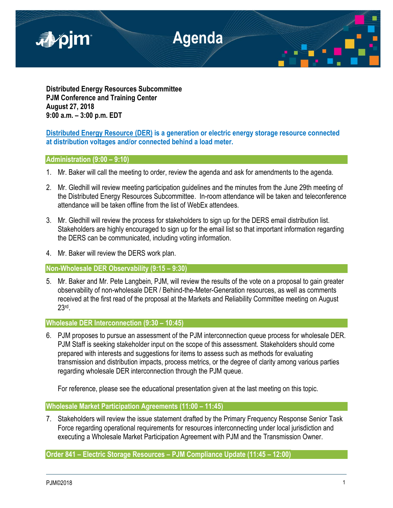

**Distributed Energy Resources Subcommittee PJM Conference and Training Center August 27, 2018 9:00 a.m. – 3:00 p.m. EDT**

# **Distributed Energy Resource (DER) is a generation or electric energy storage resource connected at distribution voltages and/or connected behind a load meter.**

## **Administration (9:00 – 9:10)**

- 1. Mr. Baker will call the meeting to order, review the agenda and ask for amendments to the agenda.
- 2. Mr. Gledhill will review meeting participation guidelines and the minutes from the June 29th meeting of the Distributed Energy Resources Subcommittee. In-room attendance will be taken and teleconference attendance will be taken offline from the list of WebEx attendees.
- 3. Mr. Gledhill will review the process for stakeholders to sign up for the DERS email distribution list. Stakeholders are highly encouraged to sign up for the email list so that important information regarding the DERS can be communicated, including voting information.
- 4. Mr. Baker will review the DERS work plan.

**Non-Wholesale DER Observability (9:15 – 9:30)**

5. Mr. Baker and Mr. Pete Langbein, PJM, will review the results of the vote on a proposal to gain greater observability of non-wholesale DER / Behind-the-Meter-Generation resources, as well as comments received at the first read of the proposal at the Markets and Reliability Committee meeting on August 23rd .

**Wholesale DER Interconnection (9:30 – 10:45)** 

6. PJM proposes to pursue an assessment of the PJM interconnection queue process for wholesale DER. PJM Staff is seeking stakeholder input on the scope of this assessment. Stakeholders should come prepared with interests and suggestions for items to assess such as methods for evaluating transmission and distribution impacts, process metrics, or the degree of clarity among various parties regarding wholesale DER interconnection through the PJM queue.

For reference, please see the educational presentation given at the last meeting on this topic.

**Wholesale Market Participation Agreements (11:00 – 11:45)**

7. Stakeholders will review the issue statement drafted by the Primary Frequency Response Senior Task Force regarding operational requirements for resources interconnecting under local jurisdiction and executing a Wholesale Market Participation Agreement with PJM and the Transmission Owner.

**Order 841 – Electric Storage Resources – PJM Compliance Update (11:45 – 12:00)**